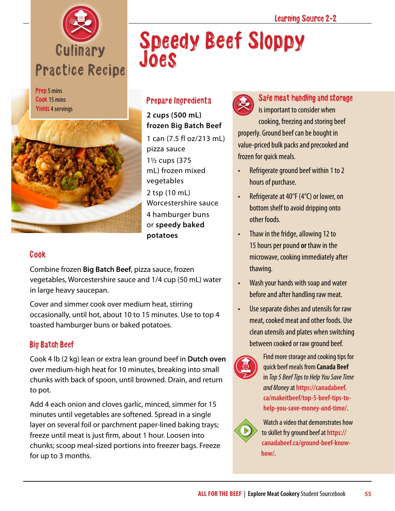

Prep 5 mins Cook 15 mins Yields 4 servings



### Prepare Ingredients

Joes

**2 cups (500 mL) frozen Big Batch Beef** 1 can (7.5 fl oz/213 mL) pizza sauce 1½ cups (375 mL) frozen mixed vegetables 2 tsp (10 mL) Worcestershire sauce 4 hamburger buns or **speedy baked potatoes**

#### Cook

Combine frozen **Big Batch Beef**, pizza sauce, frozen vegetables, Worcestershire sauce and 1/4 cup (50 mL) water in large heavy saucepan.

Cover and simmer cook over medium heat, stirring occasionally, until hot, about 10 to 15 minutes. Use to top 4 toasted hamburger buns or baked potatoes.

### Big Batch Beef

Cook 4 lb (2 kg) lean or extra lean ground beef in **Dutch oven** over medium-high heat for 10 minutes, breaking into small chunks with back of spoon, until browned. Drain, and return to pot.

Add 4 each onion and cloves garlic, minced, simmer for 15 minutes until vegetables are softened. Spread in a single layer on several foil or parchment paper-lined baking trays; freeze until meat is just firm, about 1 hour. Loosen into chunks; scoop meal-sized portions into freezer bags. Freeze for up to 3 months.



Speedy Beef Sloppy

Safe meat handling and storage is important to consider when cooking, freezing and storing beef properly. Ground beef can be bought in value-priced bulk packs and precooked and frozen for quick meals.

- Refrigerate ground beef within 1 to 2 hours of purchase.
- Refrigerate at 40°F (4°C) or lower, on bottom shelf to avoid dripping onto other foods.
- Thaw in the fridge, allowing 12 to 15 hours per pound **or** thaw in the microwave, cooking immediately after thawing.
- Wash your hands with soap and water before and after handling raw meat.
- Use separate dishes and utensils for raw meat, cooked meat and other foods. Use clean utensils and plates when switching between cooked or raw ground beef.



Find more storage and cooking tips for quick beef meals from **Canada Beef** in *Top 5 Beef Tips to Help You Save Time and Money* at **[https://canadabeef.](https://canadabeef.ca/makeitbeef/top-5-beef-tips-to-help-you-save-money-and-time/) [ca/makeitbeef/top-5-beef-tips-to](https://canadabeef.ca/makeitbeef/top-5-beef-tips-to-help-you-save-money-and-time/)[help-you-save-money-and-time/](https://canadabeef.ca/makeitbeef/top-5-beef-tips-to-help-you-save-money-and-time/)**.



Watch a video that demonstrates how to skillet fry ground beef at **[https://](https://canadabeef.ca/ground-beef-know-how/) [canadabeef.ca/ground-beef-know](https://canadabeef.ca/ground-beef-know-how/)[how/](https://canadabeef.ca/ground-beef-know-how/)**.